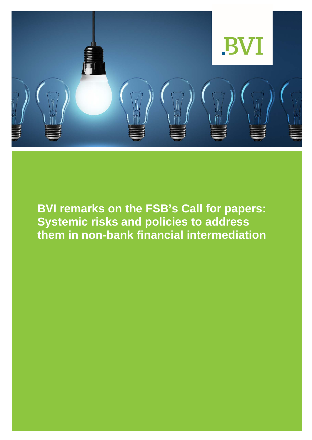

**BVI remarks on the FSB's Call for papers: Systemic risks and policies to address them in non-bank financial intermediation**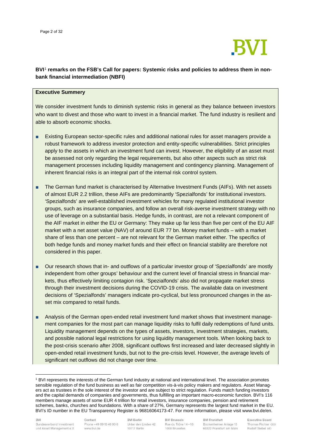

#### **BVI**[1](#page-1-0) **remarks on the FSB's Call for papers: Systemic risks and policies to address them in nonbank financial intermediation (NBFI)**

#### **Executive Summery**

We consider investment funds to diminish systemic risks in general as they balance between investors who want to divest and those who want to invest in a financial market. The fund industry is resilient and able to absorb economic shocks.

- Existing European sector-specific rules and additional national rules for asset managers provide a robust framework to address investor protection and entity-specific vulnerabilities. Strict principles apply to the assets in which an investment fund can invest. However, the eligibility of an asset must be assessed not only regarding the legal requirements, but also other aspects such as strict risk management processes including liquidity management and contingency planning. Management of inherent financial risks is an integral part of the internal risk control system.
- The German fund market is characterised by Alternative Investment Funds (AIFs). With net assets of almost EUR 2.2 trillion, these AIFs are predominantly 'Spezialfonds' for institutional investors. 'Spezialfonds' are well-established investment vehicles for many regulated institutional investor groups, such as insurance companies, and follow an overall risk-averse investment strategy with no use of leverage on a substantial basis. Hedge funds, in contrast, are not a relevant component of the AIF market in either the EU or Germany: They make up far less than five per cent of the EU AIF market with a net asset value (NAV) of around EUR 77 bn. Money market funds – with a market share of less than one percent – are not relevant for the German market either. The specifics of both hedge funds and money market funds and their effect on financial stability are therefore not considered in this paper.
- Our research shows that in- and outflows of a particular investor group of 'Spezialfonds' are mostly independent from other groups' behaviour and the current level of financial stress in financial markets, thus effectively limiting contagion risk. 'Spezialfonds' also did not propagate market stress through their investment decisions during the COVID-19 crisis. The available data on investment decisions of 'Spezialfonds' managers indicate pro-cyclical, but less pronounced changes in the asset mix compared to retail funds.
- Analysis of the German open-ended retail investment fund market shows that investment management companies for the most part can manage liquidity risks to fulfil daily redemptions of fund units. Liquidity management depends on the types of assets, investors, investment strategies, markets, and possible national legal restrictions for using liquidity management tools. When looking back to the post-crisis scenario after 2008, significant outflows first increased and later decreased slightly in open-ended retail investment funds, but not to the pre-crisis level. However, the average levels of significant net outflows did not change over time.

Contact Phone +49 69 15 40 90 0 www.bvi.de

**BVI Berlin** Unter den Linden 42 10117 Berlin

**BVI Brussels** Rue du Trône 14-16 1000 Bruxelles

**BVI Frankfurt** Bockenheimer Anlage 15 60322 Frankfurt am Main

<span id="page-1-0"></span><sup>1</sup> BVI represents the interests of the German fund industry at national and international level. The association promotes sensible regulation of the fund business as well as fair competition vis-à-vis policy makers and regulators. Asset Managers act as trustees in the sole interest of the investor and are subject to strict regulation. Funds match funding investors and the capital demands of companies and governments, thus fulfilling an important macro-economic function. BVI's 116 members manage assets of some EUR 4 trillion for retail investors, insurance companies, pension and retirement schemes, banks, churches and foundations. With a share of 27%, Germany represents the largest fund market in the EU. BVI's ID number in the EU Transparency Register is 96816064173-47. For more information, please visit www.bvi.de/en.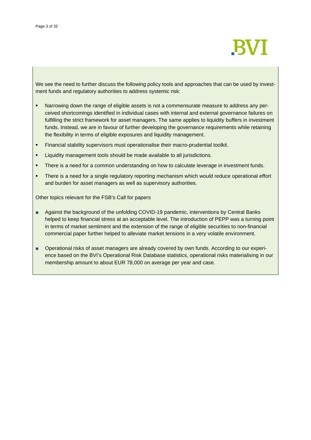

We see the need to further discuss the following policy tools and approaches that can be used by investment funds and regulatory authorities to address systemic risk:

- Narrowing down the range of eligible assets is not a commensurate measure to address any perceived shortcomings identified in individual cases with internal and external governance failures on fulfilling the strict framework for asset managers. The same applies to liquidity buffers in investment funds. Instead, we are in favour of further developing the governance requirements while retaining the flexibility in terms of eligible exposures and liquidity management.
- Financial stability supervisors must operationalise their macro-prudential toolkit.
- **EXECT** Liquidity management tools should be made available to all jurisdictions.
- **There is a need for a common understanding on how to calculate leverage in investment funds.**
- There is a need for a single regulatory reporting mechanism which would reduce operational effort and burden for asset managers as well as supervisory authorities.

Other topics relevant for the FSB's Call for papers

- Against the background of the unfolding COVID-19 pandemic, interventions by Central Banks helped to keep financial stress at an acceptable level. The introduction of PEPP was a turning point in terms of market sentiment and the extension of the range of eligible securities to non-financial commercial paper further helped to alleviate market tensions in a very volatile environment.
- Operational risks of asset managers are already covered by own funds. According to our experience based on the BVI's Operational Risk Database statistics, operational risks materialising in our membership amount to about EUR 78,000 on average per year and case.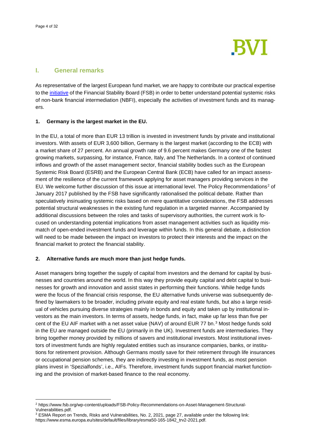

#### **I. General remarks**

As representative of the largest European fund market, we are happy to contribute our practical expertise to the [initiative](https://www.fsb.org/wp-content/uploads/R171221.pdf) of the Financial Stability Board (FSB) in order to better understand potential systemic risks of non-bank financial intermediation (NBFI), especially the activities of investment funds and its managers.

#### **1. Germany is the largest market in the EU.**

In the EU, a total of more than EUR 13 trillion is invested in investment funds by private and institutional investors. With assets of EUR 3,600 billion, Germany is the largest market (according to the ECB) with a market share of 27 percent. An annual growth rate of 9.6 percent makes Germany one of the fastest growing markets, surpassing, for instance, France, Italy, and The Netherlands. In a context of continued inflows and growth of the asset management sector, financial stability bodies such as the European Systemic Risk Board (ESRB) and the European Central Bank (ECB) have called for an impact assessment of the resilience of the current framework applying for asset managers providing services in the EU. We welcome further discussion of this issue at international level. The Policy Recommendations<sup>[2](#page-3-0)</sup> of January 2017 published by the FSB have significantly rationalised the political debate. Rather than speculatively insinuating systemic risks based on mere quantitative considerations, the FSB addresses potential structural weaknesses in the existing fund regulation in a targeted manner. Accompanied by additional discussions between the roles and tasks of supervisory authorities, the current work is focused on understanding potential implications from asset management activities such as liquidity mismatch of open-ended investment funds and leverage within funds. In this general debate, a distinction will need to be made between the impact on investors to protect their interests and the impact on the financial market to protect the financial stability.

#### **2. Alternative funds are much more than just hedge funds.**

Asset managers bring together the supply of capital from investors and the demand for capital by businesses and countries around the world. In this way they provide equity capital and debt capital to businesses for growth and innovation and assist states in performing their functions. While hedge funds were the focus of the financial crisis response, the EU alternative funds universe was subsequently defined by lawmakers to be broader, including private equity and real estate funds, but also a large residual of vehicles pursuing diverse strategies mainly in bonds and equity and taken up by institutional investors as the main investors. In terms of assets, hedge funds, in fact, make up far less than five per cent of the EU AIF market with a net asset value (NAV) of around EUR 77 bn.<sup>3</sup> Most hedge funds sold in the EU are managed outside the EU (primarily in the UK). Investment funds are intermediaries. They bring together money provided by millions of savers and institutional investors. Most institutional investors of investment funds are highly regulated entities such as insurance companies, banks, or institutions for retirement provision. Although Germans mostly save for their retirement through life insurances or occupational pension schemes, they are indirectly investing in investment funds, as most pension plans invest in 'Spezialfonds', i.e., AIFs. Therefore, investment funds support financial market functioning and the provision of market-based finance to the real economy.

<span id="page-3-0"></span><sup>2</sup> https://www.fsb.org/wp-content/uploads/FSB-Policy-Recommendations-on-Asset-Management-Structural-

<span id="page-3-1"></span> $3$  ESMA Report on Trends, Risks and Vulnerabilities, No. 2, 2021, page 27, available under the following link: https://www.esma.europa.eu/sites/default/files/library/esma50-165-1842\_trv2-2021.pdf.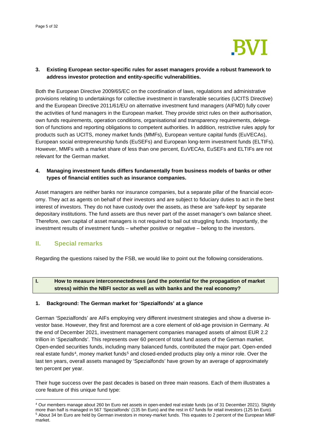

#### **3. Existing European sector-specific rules for asset managers provide a robust framework to address investor protection and entity-specific vulnerabilities.**

Both the European Directive 2009/65/EC on the coordination of laws, regulations and administrative provisions relating to undertakings for collective investment in transferable securities (UCITS Directive) and the European Directive 2011/61/EU on alternative investment fund managers (AIFMD) fully cover the activities of fund managers in the European market. They provide strict rules on their authorisation, own funds requirements, operation conditions, organisational and transparency requirements, delegation of functions and reporting obligations to competent authorities. In addition, restrictive rules apply for products such as UCITS, money market funds (MMFs), European venture capital funds (EuVECAs), European social entrepreneurship funds (EuSEFs) and European long-term investment funds (ELTIFs). However, MMFs with a market share of less than one percent, EuVECAs, EuSEFs and ELTIFs are not relevant for the German market.

#### **4. Managing investment funds differs fundamentally from business models of banks or other types of financial entities such as insurance companies.**

Asset managers are neither banks nor insurance companies, but a separate pillar of the financial economy. They act as agents on behalf of their investors and are subject to fiduciary duties to act in the best interest of investors. They do not have custody over the assets, as these are 'safe-kept' by separate depositary institutions. The fund assets are thus never part of the asset manager's own balance sheet. Therefore, own capital of asset managers is not required to bail out struggling funds. Importantly, the investment results of investment funds – whether positive or negative – belong to the investors.

#### **II. Special remarks**

Regarding the questions raised by the FSB, we would like to point out the following considerations.

#### **I. How to measure interconnectedness (and the potential for the propagation of market stress) within the NBFI sector as well as with banks and the real economy?**

#### **1. Background: The German market for 'Spezialfonds' at a glance**

German 'Spezialfonds' are AIFs employing very different investment strategies and show a diverse investor base. However, they first and foremost are a core element of old-age provision in Germany. At the end of December 2021, investment management companies managed assets of almost EUR 2.2 trillion in 'Spezialfonds'. This represents over 60 percent of total fund assets of the German market. Open-ended securities funds, including many balanced funds, contributed the major part. Open-ended real estate funds<sup>[4](#page-4-0)</sup>, money market funds<sup>[5](#page-4-1)</sup> and closed-ended products play only a minor role. Over the last ten years, overall assets managed by 'Spezialfonds' have grown by an average of approximately ten percent per year.

Their huge success over the past decades is based on three main reasons. Each of them illustrates a core feature of this unique fund type:

<span id="page-4-1"></span><span id="page-4-0"></span><sup>&</sup>lt;sup>4</sup> Our members manage about 260 bn Euro net assets in open-ended real estate funds (as of 31 December 2021). Slightly more than half is managed in 567 'Spezialfonds' (135 bn Euro) and the rest in 67 funds for retail inves <sup>5</sup> About 34 bn Euro are held by German investors in money-market funds. This equates to 2 percent of the European MMF market.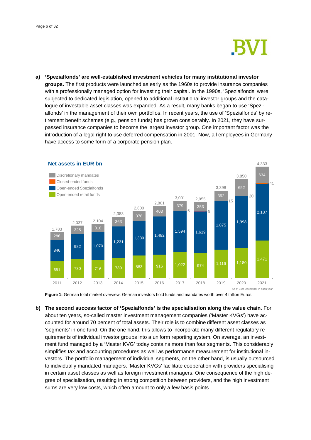### **BVI**

**a) 'Spezialfonds' are well-established investment vehicles for many institutional investor groups.** The first products were launched as early as the 1960s to provide insurance companies with a professionally managed option for investing their capital. In the 1990s, 'Spezialfonds' were subjected to dedicated legislation, opened to additional institutional investor groups and the catalogue of investable asset classes was expanded. As a result, many banks began to use 'Spezialfonds' in the management of their own portfolios. In recent years, the use of 'Spezialfonds' by retirement benefit schemes (e.g., pension funds) has grown considerably. In 2021, they have surpassed insurance companies to become the largest investor group. One important factor was the introduction of a legal right to use deferred compensation in 2001. Now, all employees in Germany have access to some form of a corporate pension plan.



**Figure 1:** German total market overview; German investors hold funds and mandates worth over 4 trillion Euros.

**b) The second success factor of 'Spezialfonds' is the specialisation along the value chain**. For about ten years, so-called master investment management companies ('Master KVGs') have accounted for around 70 percent of total assets. Their role is to combine different asset classes as 'segments' in one fund. On the one hand, this allows to incorporate many different regulatory requirements of individual investor groups into a uniform reporting system. On average, an investment fund managed by a 'Master KVG' today contains more than four segments. This considerably simplifies tax and accounting procedures as well as performance measurement for institutional investors. The portfolio management of individual segments, on the other hand, is usually outsourced to individually mandated managers. 'Master KVGs' facilitate cooperation with providers specialising in certain asset classes as well as foreign investment managers. One consequence of the high degree of specialisation, resulting in strong competition between providers, and the high investment sums are very low costs, which often amount to only a few basis points.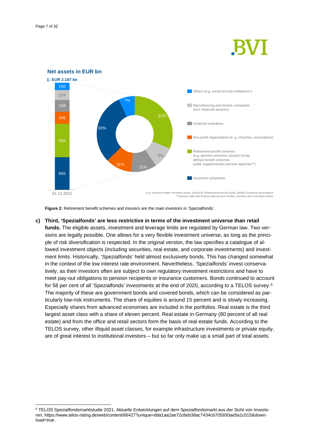



**Figure 2:** Retirement benefit schemes and insurers are the main investors in 'Spezialfonds'.

**c) Third, 'Spezialfonds' are less restrictive in terms of the investment universe than retail funds.** The eligible assets, investment and leverage limits are regulated by German law. Two versions are legally possible. One allows for a very flexible investment universe, as long as the principle of risk diversification is respected. In the original version, the law specifies a catalogue of allowed investment objects (including securities, real estate, and corporate investments) and investment limits. Historically, 'Spezialfonds' held almost exclusively bonds. This has changed somewhat in the context of the low interest rate environment. Nevertheless, 'Spezialfonds' invest conservatively, as their investors often are subject to own regulatory investment restrictions and have to meet pay-out obligations to pension recipients or insurance customers. Bonds continued to account for 58 per cent of all 'Spezialfonds' investments at the end of 2020, according to a TELOS survey.<sup>[6](#page-6-0)</sup> The majority of these are government bonds and covered bonds, which can be considered as particularly low-risk instruments. The share of equities is around 15 percent and is slowly increasing. Especially shares from advanced economies are included in the portfolios. Real estate is the third largest asset class with a share of eleven percent. Real estate in Germany (80 percent of all real estate) and from the office and retail sectors form the basis of real estate funds. According to the TELOS survey, other illiquid asset classes, for example infrastructure investments or private equity, are of great interest to institutional investors – but so far only make up a small part of total assets.

<span id="page-6-0"></span><sup>6</sup> TELOS Spezialfondsmarktstudie 2021, Aktuelle Entwicklungen auf dem Spezialfondsmarkt aus der Sicht von Investoren, https://www.telos-rating.de/web/content/66427?unique=dda1aa2ae72c8eb38ac7434cb705930ae5a1c015&download=true.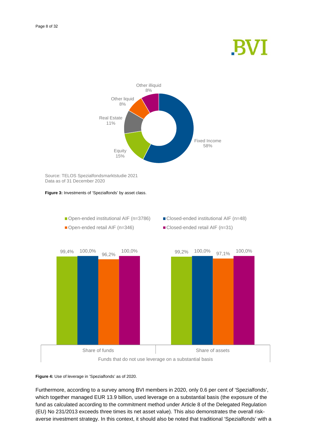## **BVI**



Source: TELOS Spezialfondsmarktstudie 2021 Data as of 31 December 2020





**Figure 4:** Use of leverage in 'Spezialfonds' as of 2020.

Furthermore, according to a survey among BVI members in 2020, only 0.6 per cent of 'Spezialfonds', which together managed EUR 13.9 billion, used leverage on a substantial basis (the exposure of the fund as calculated according to the commitment method under Article 8 of the Delegated Regulation (EU) No 231/2013 exceeds three times its net asset value). This also demonstrates the overall riskaverse investment strategy. In this context, it should also be noted that traditional 'Spezialfonds' with a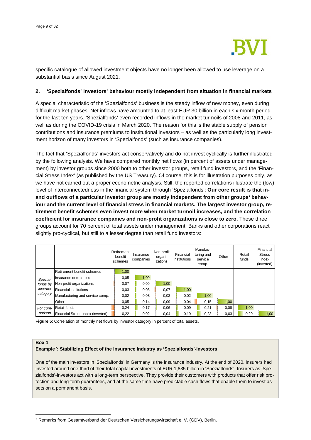

specific catalogue of allowed investment objects have no longer been allowed to use leverage on a substantial basis since August 2021.

#### **2. 'Spezialfonds' investors' behaviour mostly independent from situation in financial markets**

A special characteristic of the 'Spezialfonds' business is the steady inflow of new money, even during difficult market phases. Net inflows have amounted to at least EUR 30 billion in each six-month period for the last ten years. 'Spezialfonds' even recorded inflows in the market turmoils of 2008 and 2011, as well as during the COVID-19 crisis in March 2020. The reason for this is the stable supply of pension contributions and insurance premiums to institutional investors – as well as the particularly long investment horizon of many investors in 'Spezialfonds' (such as insurance companies).

The fact that 'Spezialfonds' investors act conservatively and do not invest cyclically is further illustrated by the following analysis. We have compared monthly net flows (in percent of assets under management) by investor groups since 2000 both to other investor groups, retail fund investors, and the 'Financial Stress Index' (as published by the US Treasury). Of course, this is for illustration purposes only, as we have not carried out a proper econometric analysis. Still, the reported correlations illustrate the (low) level of interconnectedness in the financial system through 'Spezialfonds': **Our core result is that inand outflows of a particular investor group are mostly independent from other groups' behaviour and the current level of financial stress in financial markets. The largest investor group, retirement benefit schemes even invest more when market turmoil increases, and the correlation coefficient for insurance companies and non-profit organizations is close to zero.** These three groups account for 70 percent of total assets under management. Banks and other corporations react slightly pro-cyclical, but still to a lesser degree than retail fund investors:

|                                              |                                    | Retirement<br>benefit<br>schemes | Insurance<br>companies | Non-profit<br>organi-<br>zations | Financial<br>institutions | Manufac-<br>turing and<br>service<br>comp. | Other | Retail<br>funds | Financial<br><b>Stress</b><br>Index<br>(inverted) |
|----------------------------------------------|------------------------------------|----------------------------------|------------------------|----------------------------------|---------------------------|--------------------------------------------|-------|-----------------|---------------------------------------------------|
|                                              | Retirement benefit schemes         | 1,00                             |                        |                                  |                           |                                            |       |                 |                                                   |
| Spezial-<br>fonds by<br>investor<br>category | Insurance companies                | 0,05                             | 1,00                   |                                  |                           |                                            |       |                 |                                                   |
|                                              | Non-profit organizations           | 0,07                             | 0,09                   | 1,00                             |                           |                                            |       |                 |                                                   |
|                                              | <b>Financial institutions</b>      | 0,03                             | $0,08 -$               | 0,07                             | 1,00                      |                                            |       |                 |                                                   |
|                                              | Manufacturing and service comp.  - | 0,02                             | $0,08 -$               | 0,03                             | 0,02                      | 1,00                                       |       |                 |                                                   |
|                                              | Other                              | 0,05                             | 0,14                   | 0,09                             | 0,04                      | 0,15                                       | 1,00  |                 |                                                   |
| For com-                                     | <b>Retail funds</b>                | 0,24                             | 0,17                   | 0,06                             | 0,09                      | 0,21                                       | 0,08  | 1,00            |                                                   |
| parison                                      | Financial Stress Index (inverted)  | 0,22                             | 0,02                   | 0,04                             | 0,19                      | 0,23                                       | 0,03  | 0,29            | 1,00                                              |

Figure 5: Correlation of monthly net flows by investor category in percent of total assets.

#### **Box 1**

#### **Example[7:](#page-8-0) Stabilizing Effect of the Insurance Industry as 'Spezialfonds'-Investors**

One of the main investors in 'Spezialfonds' in Germany is the insurance industry. At the end of 2020, insurers had invested around one-third of their total capital investments of EUR 1,835 billion in 'Spezialfonds'. Insurers as 'Spezialfonds'-Investors act with a long-term perspective. They provide their customers with products that offer risk protection and long-term guarantees, and at the same time have predictable cash flows that enable them to invest assets on a permanent basis.

<span id="page-8-0"></span><sup>7</sup> Remarks from Gesamtverband der Deutschen Versicherungswirtschaft e. V. (GDV), Berlin.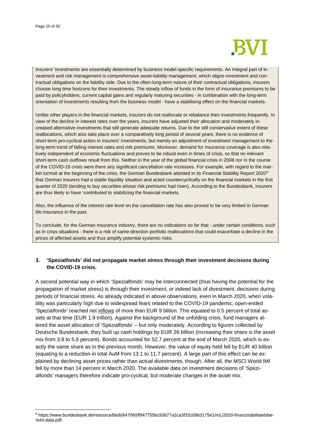

Insurers' investments are essentially determined by business model-specific requirements. An integral part of investment and risk management is comprehensive asset-liability management, which aligns investment and contractual obligations on the liability side. Due to the often-long-term nature of their contractual obligations, insurers choose long time horizons for their investments. The steady inflow of funds in the form of insurance premiums to be paid by policyholders, current capital gains and regularly maturing securities - in combination with the long-term orientation of investments resulting from the business model - have a stabilising effect on the financial markets.

Unlike other players in the financial markets, insurers do not reallocate or rebalance their investments frequently. In view of the decline in interest rates over the years, insurers have adjusted their allocation and moderately increased alternative investments that still generate adequate returns. Due to the still conservative extent of these reallocations, which also take place over a comparatively long period of several years, there is no evidence of short-term pro-cyclical action in insurers' investments, but merely an adjustment of investment management to the long-term trend of falling interest rates and risk premiums. Moreover, demand for insurance coverage is also relatively independent of economic fluctuations and proves to be robust even in times of crisis, so that no relevant short-term cash outflows result from this. Neither in the year of the global financial crisis in 2008 nor in the course of the COVID-19 crisis were there any significant cancellation rate increases. For example, with regard to the mar-ket turmoil at the beginning of the crisis, the German Bundesbank attested in its Financial Stability Report 2020<sup>[8](#page-9-0)</sup> that German insurers had a stable liquidity situation and acted countercyclically on the financial markets in the first quarter of 2020 (tending to buy securities whose risk premiums had risen). According to the Bundesbank, insurers are thus likely to have 'contributed to stabilizing the financial markets.

Also, the influence of the interest rate level on the cancellation rate has also proved to be very limited in German life insurance in the past.

To conclude, for the German insurance industry, there are no indications so far that - under certain conditions, such as in crisis situations - there is a risk of same-direction portfolio reallocations that could exacerbate a decline in the prices of affected assets and thus amplify potential systemic risks.

#### **3. 'Spezialfonds' did not propagate market stress through their investment decisions during the COVID-19 crisis.**

A second potential way in which 'Spezialfonds' may be interconnected (thus having the potential for the propagation of market stress) is through their investment, or indeed lack of divestment, decisions during periods of financial stress. As already indicated in above observations, even in March 2020, when volatility was particularly high due to widespread fears related to the COVID-19 pandemic, open-ended 'Spezialfonds' reached net inflows of more than EUR 9 billion. This equated to 0.5 percent of total assets at that time (EUR 1.9 trillion). Against the background of the unfolding crisis, fund managers altered the asset allocation of 'Spezialfonds' – but only moderately. According to figures collected by Deutsche Bundesbank, they built up cash holdings by EUR 26 billion (increasing their share is the asset mix from 3.8 to 5.6 percent). Bonds accounted for 52.7 percent at the end of March 2020, which is exactly the same share as in the previous month. However, the value of equity held fell by EUR 40 billion (equating to a reduction in total AuM from 13.1 to 11.7 percent). A large part of this effect can be explained by declining asset prices rather than actual divestments, though. After all, the MSCI World IMI fell by more than 14 percent in March 2020. The available data on investment decisions of 'Spezialfonds' managers therefore indicate pro-cyclical, but moderate changes in the asset mix.

<span id="page-9-0"></span><sup>8</sup> https://www.bundesbank.de/resource/blob/847060/f947755bc93877a2ca3f33169b3175e1/mL/2020-finanzstabilitaetsbericht-data.pdf.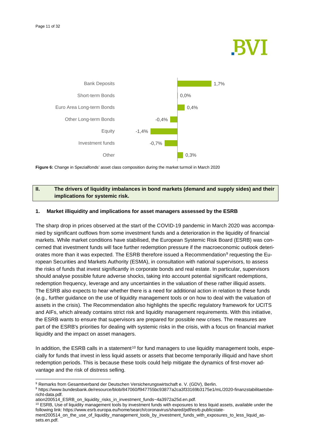## KV I





#### **II. The drivers of liquidity imbalances in bond markets (demand and supply sides) and their implications for systemic risk.**

#### **1. Market illiquidity and implications for asset managers assessed by the ESRB**

The sharp drop in prices observed at the start of the COVID-19 pandemic in March 2020 was accompanied by significant outflows from some investment funds and a deterioration in the liquidity of financial markets. While market conditions have stabilised, the European Systemic Risk Board (ESRB) was concerned that investment funds will face further redemption pressure if the macroeconomic outlook deteri-orates more than it was expected. The ESRB therefore issued a Recommendation<sup>[9](#page-10-0)</sup> requesting the European Securities and Markets Authority (ESMA), in consultation with national supervisors, to assess the risks of funds that invest significantly in corporate bonds and real estate. In particular, supervisors should analyse possible future adverse shocks, taking into account potential significant redemptions, redemption frequency, leverage and any uncertainties in the valuation of these rather illiquid assets. The ESRB also expects to hear whether there is a need for additional action in relation to these funds (e.g., further guidance on the use of liquidity management tools or on how to deal with the valuation of assets in the crisis). The Recommendation also highlights the specific regulatory framework for UCITS and AIFs, which already contains strict risk and liquidity management requirements. With this initiative, the ESRB wants to ensure that supervisors are prepared for possible new crises. The measures are part of the ESRB's priorities for dealing with systemic risks in the crisis, with a focus on financial market liquidity and the impact on asset managers.

In addition, the ESRB calls in a statement<sup>[10](#page-10-1)</sup> for fund managers to use liquidity management tools, especially for funds that invest in less liquid assets or assets that become temporarily illiquid and have short redemption periods. This is because these tools could help mitigate the dynamics of first-mover advantage and the risk of distress selling.

<span id="page-10-0"></span><sup>9</sup> Remarks from Gesamtverband der Deutschen Versicherungswirtschaft e. V. (GDV), Berlin.

<sup>9</sup> https://www.bundesbank.de/resource/blob/847060/f947755bc93877a2ca3f33169b3175e1/mL/2020-finanzstabilitaetsbericht-data.pdf.

ation200514\_ESRB\_on\_liquidity\_risks\_in\_investment\_funds~4a3972a25d.en.pdf.

<span id="page-10-1"></span><sup>&</sup>lt;sup>10</sup> ESRB, Use of liquidity management tools by investment funds with exposures to less liquid assets, available under the following link: https://www.esrb.europa.eu/home/search/coronavirus/shared/pdf/esrb.publicstate-

ment200514\_on\_the\_use\_of\_liquidity\_management\_tools\_by\_investment\_funds\_with\_exposures\_to\_less\_liquid\_assets.en.pdf.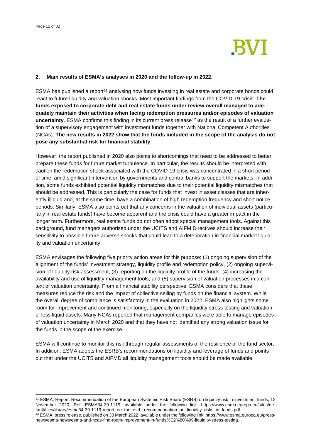

#### **2. Main results of ESMA's analyses in 2020 and the follow-up in 2022.**

ESMA has published a report<sup>[11](#page-11-0)</sup> analysing how funds investing in real estate and corporate bonds could react to future liquidity and valuation shocks. Most important findings from the COVID-19 crisis: **The funds exposed to corporate debt and real estate funds under review overall managed to adequately maintain their activities when facing redemption pressures and/or episodes of valuation**  uncertainty. ESMA confirms this finding in its current press release<sup>[12](#page-11-1)</sup> as the result of a further evaluation of a supervisory engagement with investment funds together with National Competent Authorities (NCAs). **The new results in 2022 show that the funds included in the scope of the analysis do not pose any substantial risk for financial stability.**

However, the report published in 2020 also points to shortcomings that need to be addressed to better prepare these funds for future market turbulence. In particular, the results should be interpreted with caution the redemption shock associated with the COVID-19 crisis was concentrated in a short period of time, amid significant intervention by governments and central banks to support the markets. In addition, some funds exhibited potential liquidity mismatches due to their potential liquidity mismatches that should be addressed. This is particularly the case for funds that invest in asset classes that are inherently illiquid and, at the same time, have a combination of high redemption frequency and short notice periods. Similarly, ESMA also points out that any concerns in the valuation of individual assets (particularly in real estate funds) have become apparent and the crisis could have a greater impact in the longer term. Furthermore, real estate funds do not often adopt special management tools. Against this background, fund managers authorised under the UCITS and AIFM Directives should increase their sensitivity to possible future adverse shocks that could lead to a deterioration in financial market liquidity and valuation uncertainty.

ESMA envisages the following five priority action areas for this purpose: (1) ongoing supervision of the alignment of the funds' investment strategy, liquidity profile and redemption policy, (2) ongoing supervision of liquidity risk assessment, (3) reporting on the liquidity profile of the funds, (4) increasing the availability and use of liquidity management tools, and (5) supervision of valuation processes in a context of valuation uncertainty. From a financial stability perspective, ESMA considers that these measures reduce the risk and the impact of collective selling by funds on the financial system. While the overall degree of compliance is satisfactory in the evaluation in 2022, ESMA also highlights some room for improvement and continued monitoring, especially on the liquidity stress testing and valuation of less liquid assets. Many NCAs reported that management companies were able to manage episodes of valuation uncertainty in March 2020 and that they have not identified any strong valuation issue for the funds in the scope of the exercise.

ESMA will continue to monitor this risk through regular assessments of the resilience of the fund sector. In addition, ESMA adopts the ESRB's recommendations on liquidity and leverage of funds and points out that under the UCITS and AIFMD all liquidity management tools should be made available.

<span id="page-11-0"></span><sup>11</sup> ESMA, Report, Recommendation of the European Systemic Risk Board (ESRB) on liquidity risk in investment funds, 12 November 2020, Ref. ESMA34-39-1119, available under the following link: https://www.esma.europa.eu/sites/de-<br>fault/files/library/esma34-39-1119-report\_on\_the\_esrb\_recommendation\_on\_liquidity\_risks\_in\_funds.pdf.

<span id="page-11-1"></span> $12$  ESMA, press release, published on 30 March 2022, available under the following link: https://www.esma.europa.eu/pressnews/esma-news/esma-and-ncas-find-room-improvement-in-funds%E2%80%99-liquidity-stress-testing.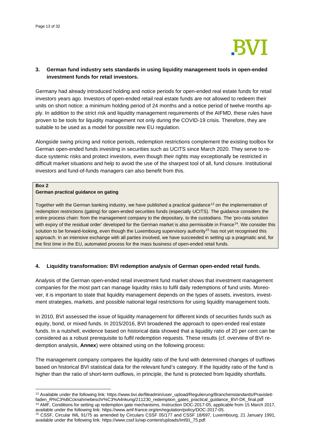

#### **3. German fund industry sets standards in using liquidity management tools in open-ended investment funds for retail investors.**

Germany had already introduced holding and notice periods for open-ended real estate funds for retail investors years ago. Investors of open-ended retail real estate funds are not allowed to redeem their units on short notice: a minimum holding period of 24 months and a notice period of twelve months apply. In addition to the strict risk and liquidity management requirements of the AIFMD, these rules have proven to be tools for liquidity management not only during the COVID-19 crisis. Therefore, they are suitable to be used as a model for possible new EU regulation.

Alongside swing pricing and notice periods, redemption restrictions complement the existing toolbox for German open-ended funds investing in securities such as UCITS since March 2020. They serve to reduce systemic risks and protect investors, even though their rights may exceptionally be restricted in difficult market situations and help to avoid the use of the sharpest tool of all, fund closure. Institutional investors and fund-of-funds managers can also benefit from this.

#### **Box 2**

#### **German practical guidance on gating**

Together with the German banking industry, we have published a practical guidance<sup>[13](#page-12-0)</sup> on the implementation of redemption restrictions (gating) for open-ended securities funds (especially UCITS). The guidance considers the entire process chain: from the management company to the depositary, to the custodians. The 'pro-rata solution with expiry of the residual order' developed for the German market is also permissible in France<sup>[14](#page-12-1)</sup>. We consider this solution to be forward-looking, even though the Luxembourg supervisory authority<sup>[15](#page-12-2)</sup> has not yet recognised this approach. In an intensive exchange with all parties involved, we have succeeded in setting up a pragmatic and, for the first time in the EU, automated process for the mass business of open-ended retail funds.

#### **4. Liquidity transformation: BVI redemption analysis of German open-ended retail funds.**

Analysis of the German open-ended retail investment fund market shows that investment management companies for the most part can manage liquidity risks to fulfil daily redemptions of fund units. Moreover, it is important to state that liquidity management depends on the types of assets, investors, investment strategies, markets, and possible national legal restrictions for using liquidity management tools.

In 2010, BVI assessed the issue of liquidity management for different kinds of securities funds such as equity, bond, or mixed funds. In 2015/2016, BVI broadened the approach to open-ended real estate funds. In a nutshell, evidence based on historical data showed that a liquidity ratio of 20 per cent can be considered as a robust prerequisite to fulfil redemption requests. These results (cf. overview of BVI redemption analysis, **Annex**) were obtained using on the following process:

The management company compares the liquidity ratio of the fund with determined changes of outflows based on historical BVI statistical data for the relevant fund's category. If the liquidity ratio of the fund is higher than the ratio of short-term outflows, in principle, the fund is protected from liquidity shortfalls.

<span id="page-12-0"></span><sup>&</sup>lt;sup>13</sup> Available under the following link: https://www.bvi.de/fileadmin/user\_upload/Regulierung/Branchenstandards/Praxisleitfaden\_R%C3%BCcknahmebeschr%C3%A4nkung/211230\_redemption\_gates\_practical\_guidance\_BVI-DK\_final.pdf <sup>14</sup> AMF, Conditions for setting up redemption gate mechanisms, Instruction DOC-2017-05, applicable from 15 March 2017, available under the following link: https://www.amf-france.org/en/regulation/policy/DOC-2017-05.

<span id="page-12-2"></span><span id="page-12-1"></span><sup>&</sup>lt;sup>15</sup> CSSF, Circular IML 91/75 as amended by Circulars CSSF 05/177 and CSSF 18/697, Luxembourg, 21 January 1991, available under the following link: https://www.cssf.lu/wp-content/uploads/iml91\_75.pdf.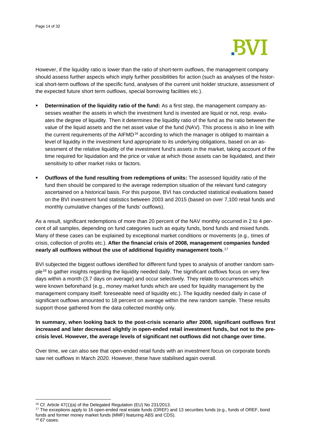

However, if the liquidity ratio is lower than the ratio of short-term outflows, the management company should assess further aspects which imply further possibilities for action (such as analyses of the historical short-term outflows of the specific fund, analyses of the current unit holder structure, assessment of the expected future short term outflows, special borrowing facilities etc.).

- **Determination of the liquidity ratio of the fund:** As a first step, the management company assesses weather the assets in which the investment fund is invested are liquid or not, resp. evaluates the degree of liquidity. Then it determines the liquidity ratio of the fund as the ratio between the value of the liquid assets and the net asset value of the fund (NAV). This process is also in line with the current requirements of the AIFMD<sup>[16](#page-13-0)</sup> according to which the manager is obliged to maintain a level of liquidity in the investment fund appropriate to its underlying obligations, based on an assessment of the relative liquidity of the investment fund's assets in the market, taking account of the time required for liquidation and the price or value at which those assets can be liquidated, and their sensitivity to other market risks or factors.
- **Outflows of the fund resulting from redemptions of units:** The assessed liquidity ratio of the fund then should be compared to the average redemption situation of the relevant fund category ascertained on a historical basis. For this purpose, BVI has conducted statistical evaluations based on the BVI investment fund statistics between 2003 and 2015 (based on over 7,100 retail funds and monthly cumulative changes of the funds' outflows).

As a result, significant redemptions of more than 20 percent of the NAV monthly occurred in 2 to 4 percent of all samples, depending on fund categories such as equity funds, bond funds and mixed funds. Many of these cases can be explained by exceptional market conditions or movements (e.g., times of crisis, collection of profits etc.). **After the financial crisis of 2008, management companies funded nearly all outflows without the use of additional liquidity management tools**.[17](#page-13-1)

BVI subjected the biggest outflows identified for different fund types to analysis of another random sam-ple<sup>[18](#page-13-2)</sup> to gather insights regarding the liquidity needed daily. The significant outflows focus on very few days within a month (3.7 days on average) and occur selectively. They relate to occurrences which were known beforehand (e.g., money market funds which are used for liquidity management by the management company itself: foreseeable need of liquidity etc.). The liquidity needed daily in case of significant outflows amounted to 18 percent on average within the new random sample. These results support those gathered from the data collected monthly only.

#### **In summary, when looking back to the post-crisis scenario after 2008, significant outflows first increased and later decreased slightly in open-ended retail investment funds, but not to the precrisis level. However, the average levels of significant net outflows did not change over time.**

Over time, we can also see that open-ended retail funds with an investment focus on corporate bonds saw net outflows in March 2020. However, these have stabilised again overall.

- <sup>16</sup> Cf. Article 47(1)(a) of the Delegated Regulation (EU) No 231/2013.<br><sup>17</sup> The exceptions apply to 16 open-ended real estate funds (OREF) and 13 securities funds (e.g., funds of OREF, bond funds and former money market funds (MMF) featuring ABS and CDS).
- <span id="page-13-2"></span> $18$  67 cases.

<span id="page-13-1"></span><span id="page-13-0"></span>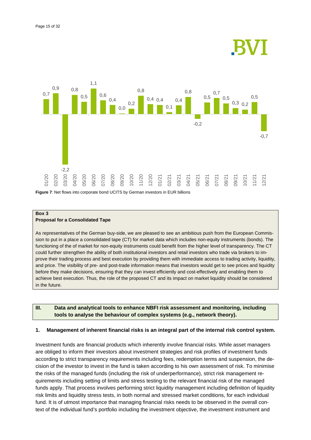



**Figure 7**: Net flows into corporate bond UCITS by German investors in EUR billions

#### **Box 3 Proposal for a Consolidated Tape**

As representatives of the German buy-side, we are pleased to see an ambitious push from the European Commission to put in a place a consolidated tape (CT) for market data which includes non-equity instruments (bonds). The functioning of the of market for non-equity instruments could benefit from the higher level of transparency. The CT could further strengthen the ability of both institutional investors and retail investors who trade via brokers to improve their trading process and best execution by providing them with immediate access to trading activity, liquidity, and price. The visibility of pre- and post-trade information means that investors would get to see prices and liquidity before they make decisions, ensuring that they can invest efficiently and cost-effectively and enabling them to achieve best execution. Thus, the role of the proposed CT and its impact on market liquidity should be considered in the future.

#### **III. Data and analytical tools to enhance NBFI risk assessment and monitoring, including tools to analyse the behaviour of complex systems (e.g., network theory).**

#### **1. Management of inherent financial risks is an integral part of the internal risk control system.**

Investment funds are financial products which inherently involve financial risks. While asset managers are obliged to inform their investors about investment strategies and risk profiles of investment funds according to strict transparency requirements including fees, redemption terms and suspension, the decision of the investor to invest in the fund is taken according to his own assessment of risk. To minimise the risks of the managed funds (including the risk of underperformance), strict risk management requirements including setting of limits and stress testing to the relevant financial risk of the managed funds apply. That process involves performing strict liquidity management including definition of liquidity risk limits and liquidity stress tests, in both normal and stressed market conditions, for each individual fund. It is of utmost importance that managing financial risks needs to be observed in the overall context of the individual fund's portfolio including the investment objective, the investment instrument and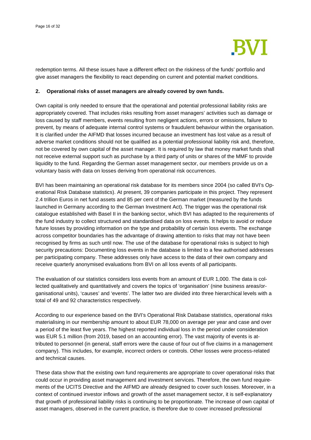

redemption terms. All these issues have a different effect on the riskiness of the funds' portfolio and give asset managers the flexibility to react depending on current and potential market conditions.

#### **2. Operational risks of asset managers are already covered by own funds.**

Own capital is only needed to ensure that the operational and potential professional liability risks are appropriately covered. That includes risks resulting from asset managers' activities such as damage or loss caused by staff members, events resulting from negligent actions, errors or omissions, failure to prevent, by means of adequate internal control systems or fraudulent behaviour within the organisation. It is clarified under the AIFMD that losses incurred because an investment has lost value as a result of adverse market conditions should not be qualified as a potential professional liability risk and, therefore, not be covered by own capital of the asset manager. It is required by law that money market funds shall not receive external support such as purchase by a third party of units or shares of the MMF to provide liquidity to the fund. Regarding the German asset management sector, our members provide us on a voluntary basis with data on losses deriving from operational risk occurrences.

BVI has been maintaining an operational risk database for its members since 2004 (so called BVI's Operational Risk Database statistics). At present, 39 companies participate in this project. They represent 2.4 trillion Euros in net fund assets and 85 per cent of the German market (measured by the funds launched in Germany according to the German Investment Act). The trigger was the operational risk catalogue established with Basel II in the banking sector, which BVI has adapted to the requirements of the fund industry to collect structured and standardised data on loss events. It helps to avoid or reduce future losses by providing information on the type and probability of certain loss events. The exchange across competitor boundaries has the advantage of drawing attention to risks that may not have been recognised by firms as such until now. The use of the database for operational risks is subject to high security precautions: Documenting loss events in the database is limited to a few authorised addresses per participating company. These addresses only have access to the data of their own company and receive quarterly anonymised evaluations from BVI on all loss events of all participants.

The evaluation of our statistics considers loss events from an amount of EUR 1,000. The data is collected qualitatively and quantitatively and covers the topics of 'organisation' (nine business areas/organisational units), 'causes' and 'events'. The latter two are divided into three hierarchical levels with a total of 49 and 92 characteristics respectively.

According to our experience based on the BVI's Operational Risk Database statistics, operational risks materialising in our membership amount to about EUR 78,000 on average per year and case and over a period of the least five years. The highest reported individual loss in the period under consideration was EUR 5.1 million (from 2019, based on an accounting error). The vast majority of events is attributed to personnel (in general, staff errors were the cause of four out of five claims in a management company). This includes, for example, incorrect orders or controls. Other losses were process-related and technical causes.

These data show that the existing own fund requirements are appropriate to cover operational risks that could occur in providing asset management and investment services. Therefore, the own fund requirements of the UCITS Directive and the AIFMD are already designed to cover such losses. Moreover, in a context of continued investor inflows and growth of the asset management sector, it is self-explanatory that growth of professional liability risks is continuing to be proportionate. The increase of own capital of asset managers, observed in the current practice, is therefore due to cover increased professional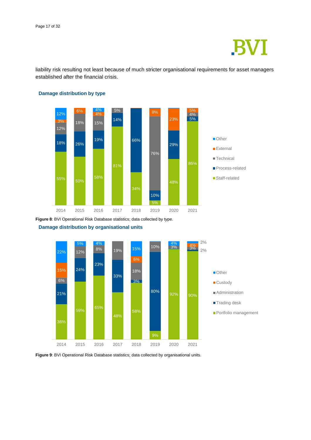

liability risk resulting not least because of much stricter organisational requirements for asset managers established after the financial crisis.



**Damage distribution by type**

**Figure 8**: BVI Operational Risk Database statistics; data collected by type.







**Figure 9**: BVI Operational Risk Database statistics; data collected by organisational units.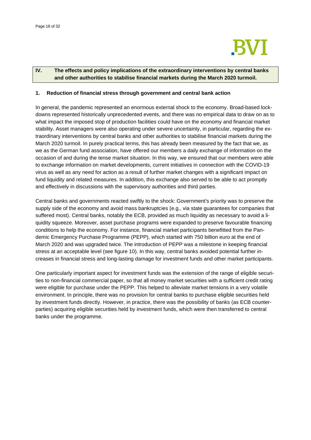

#### **IV. The effects and policy implications of the extraordinary interventions by central banks and other authorities to stabilise financial markets during the March 2020 turmoil.**

#### **1. Reduction of financial stress through government and central bank action**

In general, the pandemic represented an enormous external shock to the economy. Broad-based lockdowns represented historically unprecedented events, and there was no empirical data to draw on as to what impact the imposed stop of production facilities could have on the economy and financial market stability. Asset managers were also operating under severe uncertainty, in particular, regarding the extraordinary interventions by central banks and other authorities to stabilise financial markets during the March 2020 turmoil. In purely practical terms, this has already been measured by the fact that we, as we as the German fund association, have offered our members a daily exchange of information on the occasion of and during the tense market situation. In this way, we ensured that our members were able to exchange information on market developments, current initiatives in connection with the COVID-19 virus as well as any need for action as a result of further market changes with a significant impact on fund liquidity and related measures. In addition, this exchange also served to be able to act promptly and effectively in discussions with the supervisory authorities and third parties.

Central banks and governments reacted swiftly to the shock: Government's priority was to preserve the supply side of the economy and avoid mass bankruptcies (e.g., via state guarantees for companies that suffered most). Central banks, notably the ECB, provided as much liquidity as necessary to avoid a liquidity squeeze. Moreover, asset purchase programs were expanded to preserve favourable financing conditions to help the economy. For instance, financial market participants benefitted from the Pandemic Emergency Purchase Programme (PEPP), which started with 750 billion euro at the end of March 2020 and was upgraded twice. The introduction of PEPP was a milestone in keeping financial stress at an acceptable level (see figure 10). In this way, central banks avoided potential further increases in financial stress and long-lasting damage for investment funds and other market participants.

One particularly important aspect for investment funds was the extension of the range of eligible securities to non-financial commercial paper, so that all money market securities with a sufficient credit rating were eligible for purchase under the PEPP. This helped to alleviate market tensions in a very volatile environment. In principle, there was no provision for central banks to purchase eligible securities held by investment funds directly. However, in practice, there was the possibility of banks (as ECB counterparties) acquiring eligible securities held by investment funds, which were then transferred to central banks under the programme.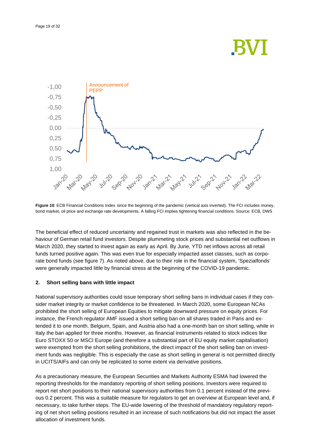## **BVI**



**Figure 10**: ECB Financial Conditions Index since the beginning of the pandemic (vertical axis inverted). The FCI includes money, bond market, oil price and exchange rate developments. A falling FCI implies tightening financial conditions. Source: ECB, DWS

The beneficial effect of reduced uncertainty and regained trust in markets was also reflected in the behaviour of German retail fund investors. Despite plummeting stock prices and substantial net outflows in March 2020, they started to invest again as early as April. By June, YTD net inflows across all retail funds turned positive again. This was even true for especially impacted asset classes, such as corporate bond funds (see figure 7). As noted above, due to their role in the financial system, 'Spezialfonds' were generally impacted little by financial stress at the beginning of the COVID-19 pandemic.

#### **2. Short selling bans with little impact**

National supervisory authorities could issue temporary short selling bans in individual cases if they consider market integrity or market confidence to be threatened. In March 2020, some European NCAs prohibited the short selling of European Equities to mitigate downward pressure on equity prices. For instance, the French regulator AMF issued a short selling ban on all shares traded in Paris and extended it to one month. Belgium, Spain, and Austria also had a one-month ban on short selling, while in Italy the ban applied for three months. However, as financial instruments related to stock indices like Euro STOXX 50 or MSCI Europe (and therefore a substantial part of EU equity market capitalisation) were exempted from the short selling prohibitions, the direct impact of the short selling ban on investment funds was negligible. This is especially the case as short selling in general is not permitted directly in UCITS/AIFs and can only be replicated to some extent via derivative positions.

As a precautionary measure, the European Securities and Markets Authority ESMA had lowered the reporting thresholds for the mandatory reporting of short selling positions. Investors were required to report net short positions to their national supervisory authorities from 0.1 percent instead of the previous 0.2 percent. This was a suitable measure for regulators to get an overview at European level and, if necessary, to take further steps. The EU-wide lowering of the threshold of mandatory regulatory reporting of net short selling positions resulted in an increase of such notifications but did not impact the asset allocation of investment funds.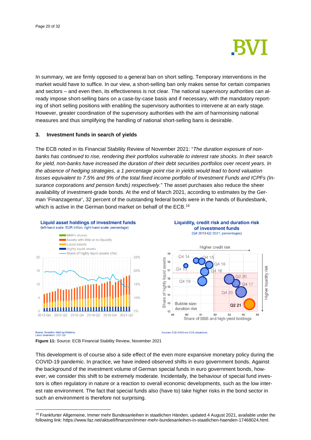

In summary, we are firmly opposed to a general ban on short selling. Temporary interventions in the market would have to suffice. In our view, a short-selling ban only makes sense for certain companies and sectors – and even then, its effectiveness is not clear. The national supervisory authorities can already impose short-selling bans on a case-by-case basis and if necessary, with the mandatory reporting of short selling positions with enabling the supervisory authorities to intervene at an early stage. However, greater coordination of the supervisory authorities with the aim of harmonising national measures and thus simplifying the handling of national short-selling bans is desirable.

#### **3. Investment funds in search of yields**

The ECB noted in its Financial Stability Review of November 2021: "*The duration exposure of nonbanks has continued to rise, rendering their portfolios vulnerable to interest rate shocks. In their search for yield, non-banks have increased the duration of their debt securities portfolios over recent years. In the absence of hedging strategies, a 1 percentage point rise in yields would lead to bond valuation losses equivalent to 7.5% and 9% of the total fixed income portfolio of Investment Funds and ICPFs (Insurance corporations and pension funds) respectively.*" The asset purchases also reduce the sheer availability of investment-grade bonds. At the end of March 2021, according to estimates by the German 'Finanzagentur', 32 percent of the outstanding federal bonds were in the hands of Bundesbank, which is active in the German bond market on behalf of the ECB.<sup>[19](#page-19-0)</sup>



#### Liquidity, credit risk and duration risk of investment funds (Q4 2013-Q2 2021; percentages)



Source: Securities Holdings Statistics<br>Latest observation: 2021 Q3.

**Figure 11:** Source: ECB Financial Stability Review, November 2021

This development is of course also a side effect of the even more expansive monetary policy during the COVID-19 pandemic. In practice, we have indeed observed shifts in euro government bonds. Against the background of the investment volume of German special funds in euro government bonds, however, we consider this shift to be extremely moderate. Incidentally, the behaviour of special fund investors is often regulatory in nature or a reaction to overall economic developments, such as the low interest rate environment. The fact that special funds also (have to) take higher risks in the bond sector in such an environment is therefore not surprising.

Sources: FCB SHSS and FCB calculations

<span id="page-19-0"></span><sup>&</sup>lt;sup>19</sup> Frankfurter Allgemeine, Immer mehr Bundesanleihen in staatlichen Händen, updated 4 August 2021, available under the following link: https://www.faz.net/aktuell/finanzen/immer-mehr-bundesanleihen-in-staatlichen-haenden-17468024.html.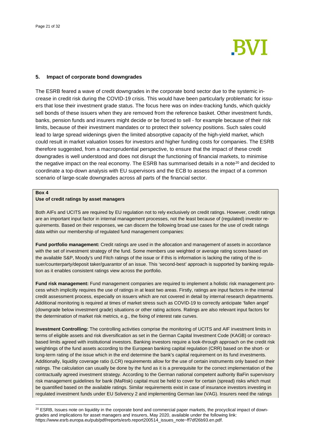

#### **5. Impact of corporate bond downgrades**

The ESRB feared a wave of credit downgrades in the corporate bond sector due to the systemic increase in credit risk during the COVID-19 crisis. This would have been particularly problematic for issuers that lose their investment grade status. The focus here was on index-tracking funds, which quickly sell bonds of these issuers when they are removed from the reference basket. Other investment funds, banks, pension funds and insurers might decide or be forced to sell - for example because of their risk limits, because of their investment mandates or to protect their solvency positions. Such sales could lead to large spread widenings given the limited absorptive capacity of the high-yield market, which could result in market valuation losses for investors and higher funding costs for companies. The ESRB therefore suggested, from a macroprudential perspective, to ensure that the impact of these credit downgrades is well understood and does not disrupt the functioning of financial markets, to minimise the negative impact on the real economy. The ESRB has summarised details in a note<sup>[20](#page-20-0)</sup> and decided to coordinate a top-down analysis with EU supervisors and the ECB to assess the impact of a common scenario of large-scale downgrades across all parts of the financial sector.

#### **Box 4**

#### **Use of credit ratings by asset managers**

Both AIFs and UCITS are required by EU regulation not to rely exclusively on credit ratings. However, credit ratings are an important input factor in internal management processes, not the least because of (regulated) investor requirements. Based on their responses, we can discern the following broad use cases for the use of credit ratings data within our membership of regulated fund management companies:

**Fund portfolio management:** Credit ratings are used in the allocation and management of assets in accordance with the set of investment strategy of the fund. Some members use weighted or average rating scores based on the available S&P, Moody's und Fitch ratings of the issue or if this is information is lacking the rating of the issuer/counterparty/deposit taker/guarantor of an issue. This 'second-best' approach is supported by banking regulation as it enables consistent ratings view across the portfolio.

**Fund risk management:** Fund management companies are required to implement a holistic risk management process which implicitly requires the use of ratings in at least two areas. Firstly, ratings are input factors in the internal credit assessment process, especially on issuers which are not covered in detail by internal research departments. Additional monitoring is required at times of market stress such as COVID-19 to correctly anticipate 'fallen angel' (downgrade below investment grade) situations or other rating actions. Ratings are also relevant input factors for the determination of market risk metrics, e.g., the fixing of interest rate curves.

**Investment Controlling:** The controlling activities comprise the monitoring of UCITS and AIF investment limits in terms of eligible assets and risk diversification as set in the German Capital Investment Code (KAGB) or contractbased limits agreed with institutional investors. Banking investors require a look-through approach on the credit risk weightings of the fund assets according to the European banking capital regulation (CRR) based on the short- or long-term rating of the issue which in the end determine the bank's capital requirement on its fund investments. Additionally, liquidity coverage ratio (LCR) requirements allow for the use of certain instruments only based on their ratings. The calculation can usually be done by the fund as it is a prerequisite for the correct implementation of the contractually agreed investment strategy. According to the German national competent authority BaFin supervisory risk management guidelines for bank (MaRisk) capital must be held to cover for certain (spread) risks which must be quantified based on the available ratings. Similar requirements exist in case of insurance investors investing in regulated investment funds under EU Solvency 2 and implementing German law (VAG). Insurers need the ratings

<span id="page-20-0"></span><sup>&</sup>lt;sup>20</sup> ESRB, Issues note on liquidity in the corporate bond and commercial paper markets, the procyclical impact of downgrades and implications for asset managers and insurers, May 2020, available under the following link: https://www.esrb.europa.eu/pub/pdf/reports/esrb.report200514\_issues\_note~ff7df26b93.en.pdf.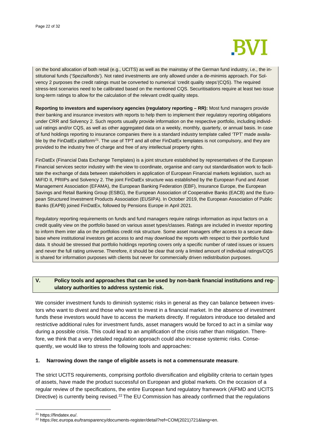

on the bond allocation of both retail (e.g., UCITS) as well as the mainstay of the German fund industry, i.e., the institutional funds ('Spezialfonds'). Not rated investments are only allowed under a de-minimis approach. For Solvency 2 purposes the credit ratings must be converted to numerical 'credit quality steps'(CQS). The required stress-test scenarios need to be calibrated based on the mentioned CQS. Securitisations require at least two issue long-term ratings to allow for the calculation of the relevant credit quality steps.

**Reporting to investors and supervisory agencies (regulatory reporting – RR):** Most fund managers provide their banking and insurance investors with reports to help them to implement their regulatory reporting obligations under CRR and Solvency 2. Such reports usually provide information on the respective portfolio, including individual ratings and/or CQS, as well as other aggregated data on a weekly, monthly, quarterly, or annual basis. In case of fund holdings reporting to insurance companies there is a standard industry template called 'TPT' made available by the FinDatEx platform<sup>21</sup>. The use of TPT and all other FinDatEx templates is not compulsory, and they are provided to the industry free of charge and free of any intellectual property rights.

FinDatEx (Financial Data Exchange Templates) is a joint structure established by representatives of the European Financial services sector industry with the view to coordinate, organise and carry out standardisation work to facilitate the exchange of data between stakeholders in application of European Financial markets legislation, such as MiFID II, PRIIPs and Solvency 2. The joint FinDatEx structure was established by the European Fund and Asset Management Association (EFAMA), the European Banking Federation (EBF), Insurance Europe, the European Savings and Retail Banking Group (ESBG), the European Association of Cooperative Banks (EACB) and the European Structured Investment Products Association (EUSIPA). In October 2019, the European Association of Public Banks (EAPB) joined FinDatEx, followed by Pensions Europe in April 2021.

Regulatory reporting requirements on funds and fund managers require ratings information as input factors on a credit quality view on the portfolio based on various asset types/classes. Ratings are included in investor reporting to inform them inter alia on the portfolios credit risk structure. Some asset managers offer access to a secure database where institutional investors get access to and may download the reports with respect to their portfolio fund data. It should be stressed that portfolio holdings reporting covers only a specific number of rated issues or issuers and never the full rating universe. Therefore, it should be clear that only a limited amount of individual ratings/CQS is shared for information purposes with clients but never for commercially driven redistribution purposes.

#### **V. Policy tools and approaches that can be used by non-bank financial institutions and regulatory authorities to address systemic risk.**

We consider investment funds to diminish systemic risks in general as they can balance between investors who want to divest and those who want to invest in a financial market. In the absence of investment funds these investors would have to access the markets directly. If regulators introduce too detailed and restrictive additional rules for investment funds, asset managers would be forced to act in a similar way during a possible crisis. This could lead to an amplification of the crisis rather than mitigation. Therefore, we think that a very detailed regulation approach could also increase systemic risks. Consequently, we would like to stress the following tools and approaches:

#### **1. Narrowing down the range of eligible assets is not a commensurate measure**.

The strict UCITS requirements, comprising portfolio diversification and eligibility criteria to certain types of assets, have made the product successful on European and global markets. On the occasion of a regular review of the specifications, the entire European fund regulatory framework (AIFMD and UCITS Directive) is currently being revised.<sup>[22](#page-21-1)</sup> The EU Commission has already confirmed that the regulations

<span id="page-21-1"></span><span id="page-21-0"></span>

<sup>&</sup>lt;sup>21</sup> https://findatex.eu/.<br><sup>22</sup> https://ec.europa.eu/transparency/documents-register/detail?ref=COM(2021)721&lang=en.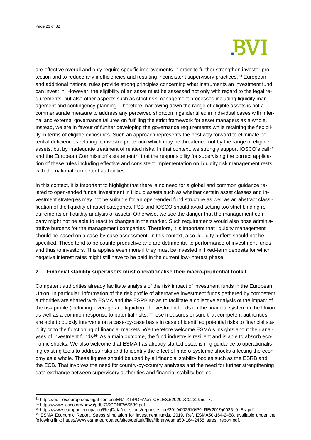

are effective overall and only require specific improvements in order to further strengthen investor pro-tection and to reduce any inefficiencies and resulting inconsistent supervisory practices.<sup>[23](#page-22-0)</sup> European and additional national rules provide strong principles concerning what instruments an investment fund can invest in. However, the eligibility of an asset must be assessed not only with regard to the legal requirements, but also other aspects such as strict risk management processes including liquidity management and contingency planning. Therefore, narrowing down the range of eligible assets is not a commensurate measure to address any perceived shortcomings identified in individual cases with internal and external governance failures on fulfilling the strict framework for asset managers as a whole. Instead, we are in favour of further developing the governance requirements while retaining the flexibility in terms of eligible exposures. Such an approach represents the best way forward to eliminate potential deficiencies relating to investor protection which may be threatened not by the range of eligible assets, but by inadequate treatment of related risks. In that context, we strongly support IOSCO's call<sup>[24](#page-22-1)</sup> and the European Commission's statement<sup>[25](#page-22-2)</sup> that the responsibility for supervising the correct application of these rules including effective and consistent implementation on liquidity risk management rests with the national competent authorities.

In this context, it is important to highlight that there is no need for a global and common guidance related to open-ended funds' investment in illiquid assets such as whether certain asset classes and investment strategies may not be suitable for an open-ended fund structure as well as an abstract classification of the liquidity of asset categories. FSB and IOSCO should avoid setting too strict binding requirements on liquidity analysis of assets. Otherwise, we see the danger that the management company might not be able to react to changes in the market. Such requirements would also pose administrative burdens for the management companies. Therefore, it is important that liquidity management should be based on a case-by-case assessment. In this context, also liquidity buffers should not be specified. These tend to be counterproductive and are detrimental to performance of investment funds and thus to investors. This applies even more if they must be invested in fixed-term deposits for which negative interest rates might still have to be paid in the current low-interest phase.

#### **2. Financial stability supervisors must operationalise their macro-prudential toolkit.**

Competent authorities already facilitate analysis of the risk impact of investment funds in the European Union. In particular, information of the risk profile of alternative investment funds gathered by competent authorities are shared with ESMA and the ESRB so as to facilitate a collective analysis of the impact of the risk profile (including leverage and liquidity) of investment funds on the financial system in the Union as well as a common response to potential risks. These measures ensure that competent authorities are able to quickly intervene on a case-by-case basis in case of identified potential risks to financial stability or to the functioning of financial markets. We therefore welcome ESMA's insights about their analyses of investment funds[26:](#page-22-3) As a main outcome, the fund industry is resilient and is able to absorb economic shocks. We also welcome that ESMA has already started establishing guidance to operationalising existing tools to address risks and to identify the effect of macro-systemic shocks affecting the economy as a whole. These figures should be used by all financial stability bodies such as the ESRB and the ECB. That involves the need for country-by-country analyses and the need for further strengthening data exchange between supervisory authorities and financial stability bodies.

<span id="page-22-2"></span><span id="page-22-1"></span>

<span id="page-22-0"></span><sup>&</sup>lt;sup>23</sup> https://eur-lex.europa.eu/legal-content/EN/TXT/PDF/?uri=CELEX:52020DC0232&rid=7.<br><sup>24</sup> https://www.iosco.org/news/pdf/IOSCONEWS539.pdf.<br><sup>25</sup> https://www.europarl.europa.eu/RegData/questions/reponses\_qe/2019/002510/P9\_R

<span id="page-22-3"></span>following link: https://www.esma.europa.eu/sites/default/files/library/esma50-164-2458\_stresi\_report.pdf.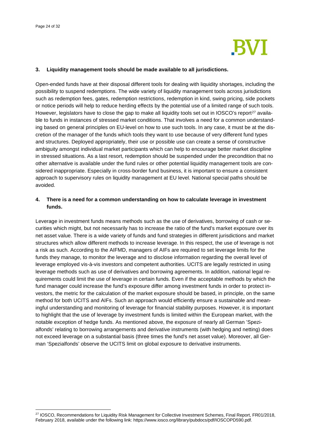

#### **3. Liquidity management tools should be made available to all jurisdictions.**

Open-ended funds have at their disposal different tools for dealing with liquidity shortages, including the possibility to suspend redemptions. The wide variety of liquidity management tools across jurisdictions such as redemption fees, gates, redemption restrictions, redemption in kind, swing pricing, side pockets or notice periods will help to reduce herding effects by the potential use of a limited range of such tools. However, legislators have to close the gap to make all liquidity tools set out in IOSCO's report<sup>[27](#page-23-0)</sup> available to funds in instances of stressed market conditions. That involves a need for a common understanding based on general principles on EU-level on how to use such tools. In any case, it must be at the discretion of the manager of the funds which tools they want to use because of very different fund types and structures. Deployed appropriately, their use or possible use can create a sense of constructive ambiguity amongst individual market participants which can help to encourage better market discipline in stressed situations. As a last resort, redemption should be suspended under the precondition that no other alternative is available under the fund rules or other potential liquidity management tools are considered inappropriate. Especially in cross-border fund business, it is important to ensure a consistent approach to supervisory rules on liquidity management at EU level. National special paths should be avoided.

#### **4. There is a need for a common understanding on how to calculate leverage in investment funds.**

Leverage in investment funds means methods such as the use of derivatives, borrowing of cash or securities which might, but not necessarily has to increase the ratio of the fund's market exposure over its net asset value. There is a wide variety of funds and fund strategies in different jurisdictions and market structures which allow different methods to increase leverage. In this respect, the use of leverage is not a risk as such. According to the AIFMD, managers of AIFs are required to set leverage limits for the funds they manage, to monitor the leverage and to disclose information regarding the overall level of leverage employed vis-à-vis investors and competent authorities. UCITS are legally restricted in using leverage methods such as use of derivatives and borrowing agreements. In addition, national legal requirements could limit the use of leverage in certain funds. Even if the acceptable methods by which the fund manager could increase the fund's exposure differ among investment funds in order to protect investors, the metric for the calculation of the market exposure should be based, in principle, on the same method for both UCITS and AIFs. Such an approach would efficiently ensure a sustainable and meaningful understanding and monitoring of leverage for financial stability purposes. However, it is important to highlight that the use of leverage by investment funds is limited within the European market, with the notable exception of hedge funds. As mentioned above, the exposure of nearly all German 'Spezialfonds' relating to borrowing arrangements and derivative instruments (with hedging and netting) does not exceed leverage on a substantial basis (three times the fund's net asset value). Moreover, all German 'Spezialfonds' observe the UCITS limit on global exposure to derivative instruments.

<span id="page-23-0"></span><sup>&</sup>lt;sup>27</sup> IOSCO, Recommendations for Liquidity Risk Management for Collective Investment Schemes, Final Report, FR01/2018, February 2018, available under the following link: https://www.iosco.org/library/pubdocs/pdf/IOSCOPD590.pdf.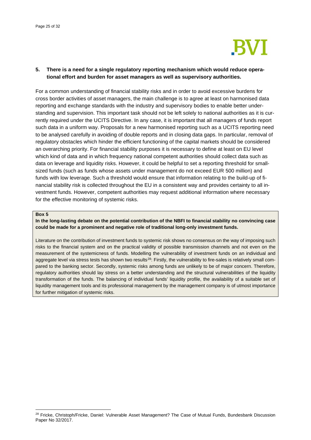

#### **5. There is a need for a single regulatory reporting mechanism which would reduce operational effort and burden for asset managers as well as supervisory authorities.**

For a common understanding of financial stability risks and in order to avoid excessive burdens for cross border activities of asset managers, the main challenge is to agree at least on harmonised data reporting and exchange standards with the industry and supervisory bodies to enable better understanding and supervision. This important task should not be left solely to national authorities as it is currently required under the UCITS Directive. In any case, it is important that all managers of funds report such data in a uniform way. Proposals for a new harmonised reporting such as a UCITS reporting need to be analysed carefully in avoiding of double reports and in closing data gaps. In particular, removal of regulatory obstacles which hinder the efficient functioning of the capital markets should be considered an overarching priority. For financial stability purposes it is necessary to define at least on EU level which kind of data and in which frequency national competent authorities should collect data such as data on leverage and liquidity risks. However, it could be helpful to set a reporting threshold for smallsized funds (such as funds whose assets under management do not exceed EUR 500 million) and funds with low leverage. Such a threshold would ensure that information relating to the build-up of financial stability risk is collected throughout the EU in a consistent way and provides certainty to all investment funds. However, competent authorities may request additional information where necessary for the effective monitoring of systemic risks.

#### **Box 5**

#### **In the long-lasting debate on the potential contribution of the NBFI to financial stability no convincing case could be made for a prominent and negative role of traditional long-only investment funds.**

Literature on the contribution of investment funds to systemic risk shows no consensus on the way of imposing such risks to the financial system and on the practical validity of possible transmission channels and not even on the measurement of the systemicness of funds. Modelling the vulnerability of investment funds on an individual and aggregate level via stress tests has shown two results $^{28}$  $^{28}$  $^{28}$ : Firstly, the vulnerability to fire-sales is relatively small compared to the banking sector. Secondly, systemic risks among funds are unlikely to be of major concern. Therefore, regulatory authorities should lay stress on a better understanding and the structural vulnerabilities of the liquidity transformation of the funds. The balancing of individual funds' liquidity profile, the availability of a suitable set of liquidity management tools and its professional management by the management company is of utmost importance for further mitigation of systemic risks.

<span id="page-24-0"></span><sup>&</sup>lt;sup>28</sup> Fricke, Christoph/Fricke, Daniel: Vulnerable Asset Management? The Case of Mutual Funds, Bundesbank Discussion Paper No 32/2017.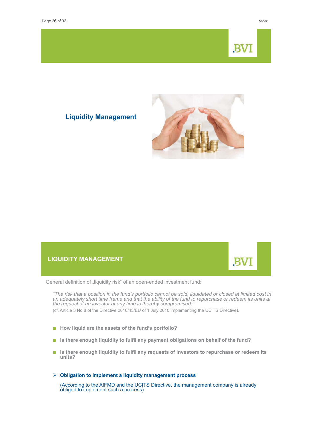# **BV**

B

### **Liquidity Management**



#### **LIQUIDITY MANAGEMENT**

General definition of "liquidity risk" of an open-ended investment fund:

*"The risk that a position in the fund's portfolio cannot be sold, liquidated or closed at limited cost in an adequately short time frame and that the ability of the fund to repurchase or redeem its units at the request of an investor at any time is thereby compromised."*

(cf. Article 3 No 8 of the Directive 2010/43/EU of 1 July 2010 implementing the UCITS Directive).

- **How liquid are the assets of the fund's portfolio?**
- **I** is there enough liquidity to fulfil any payment obligations on behalf of the fund?
- **I** Is there enough liquidity to fulfil any requests of investors to repurchase or redeem its units?

#### $\triangleright$  Obligation to implement a liquidity management process

(According to the AIFMD and the UCITS Directive, the management company is already obliged to implement such a process)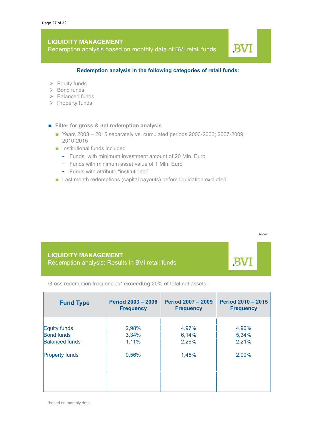Redemption analysis based on monthly data of BVI retail funds

### **BV**

#### Redemption analysis in the following categories of retail funds:

- $\triangleright$  Equity funds
- $\triangleright$  Bond funds
- $\triangleright$  Balanced funds
- $\triangleright$  Property funds
- **Filter for gross & net redemption analysis** 
	- $\blacksquare$  Years 2003 2015 separately vs. cumulated periods 2003-2006; 2007-2009; 2010-2015
	- $\blacksquare$  Institutional funds included
		- Funds with minimum investment amount of 20 Mln. Euro
		- Funds with minimum asset value of 1 Mln. Euro
		- Funds with attribute "institutional"
	- $\blacksquare$  Last month redemptions (capital payouts) before liquidation excluded

B

**LIQUIDITY MANAGEMENT** Redemption analysis: Results in BVI retail funds

Gross redemption frequencies<sup>\*</sup> exceeding 20% of total net assets:

| <b>Fund Type</b>      | <b>Period 2003 - 2006</b><br><b>Frequency</b> | <b>Period 2007 - 2009</b><br><b>Frequency</b> | <b>Period 2010 - 2015</b><br><b>Frequency</b> |
|-----------------------|-----------------------------------------------|-----------------------------------------------|-----------------------------------------------|
| Equity funds          | 2,98%                                         | 4,97%                                         | 4,96%                                         |
| <b>Bond funds</b>     | 3,34%                                         | 6,14%                                         | 5,34%                                         |
| <b>Balanced funds</b> | 1,11%                                         | 2,26%                                         | 2,21%                                         |
| <b>Property funds</b> | 0,56%                                         | 1,45%                                         | 2,00%                                         |
|                       |                                               |                                               |                                               |
|                       |                                               |                                               |                                               |

\*based on monthly data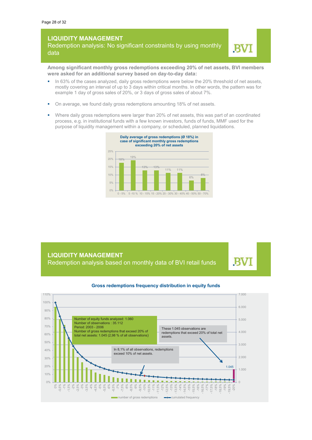Redemption analysis: No significant constraints by using monthly data



Among significant monthly gross redemptions exceeding 20% of net assets, BVI members were asked for an additional survey based on day-to-day data:

- In 63% of the cases analyzed, daily gross redemptions were below the 20% threshold of net assets, mostly covering an interval of up to 3 days within critical months. In other words, the pattern was for example 1 day of gross sales of 20%, or 3 days of gross sales of about 7%.
- On average, we found daily gross redemptions amounting 18% of net assets.
- " Where daily gross redemptions were larger than 20% of net assets, this was part of an coordinated process, e.g. in institutional funds with a few known investors, funds of funds, MMF used for the indepropriate of liquidity management within a company, or scheduled, planned liquidations.



#### **LIQUIDITY MANAGEMENT** Redemption analysis based on monthly data of BVI retail funds





#### **Gross redemptions frequency distribution in equity funds**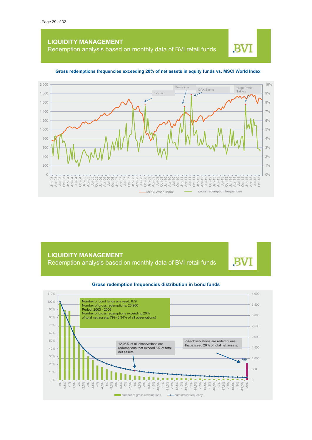Redemption analysis based on monthly data of BVI retail funds

### BV



#### Gross redemptions frequencies exceeding 20% of net assets in equity funds vs. MSCI World Index

**LIQUIDITY MANAGEMENT** Redemption analysis based on monthly data of BVI retail funds

**BV** 

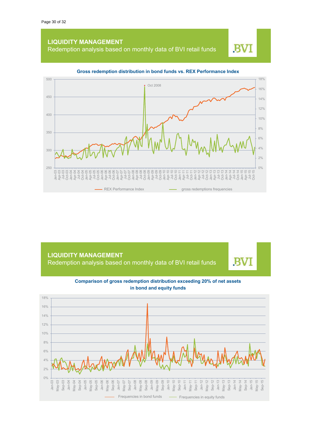Redemption analysis based on monthly data of BVI retail funds

B



#### Gross redemption distribution in bond funds vs. REX Performance Index

**LIQUIDITY MANAGEMENT** Redemption analysis based on monthly data of BVI retail funds



Comparison of gross redemption distribution exceeding 20% of net assets in bond and equity funds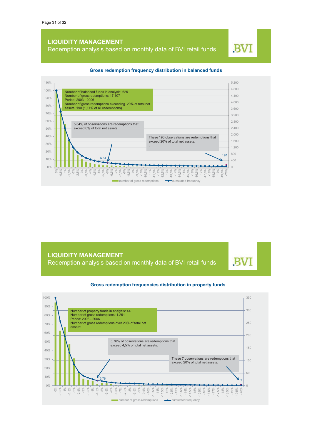Redemption analysis based on monthly data of BVI retail funds

#### 110%  $5.200$ 4.800 100% Number of balanced funds in analysis: 625 4.400 Number of grossredemptions: 17.107<br>Period: 2003 - 2006 90%  $4.000$ Number of gross redemptions exceeding 20% of total net 80% assets: 190 (1,11% of all redemptions) 3.600 70%  $3200$  $60%$ 2.800 5,64% of observations are redemptions that  $2.400$  $50%$ exceed 6% of total net assets l  $2.000$ 40% These 190 observations are redemptions that<br>exceed 20% of total net assets. 1.600 30%  $\ddot{\phantom{0}}$  $1,200$ 20% 800  $5,64$   $\bigg\}$   $190$  $10%$ 400  $\bigcap_{\alpha} O_{\alpha}$ a Bar  $\cap$  $-1\%$ 5 % % % %<br>7 % 5 % % %<br>7 % % % %  $-7\%$  $-7.5%$  $-11%$  $-1$ ,5%<br>  $-1$ ,5%<br>  $-1$ ,5%<br>  $-1$ ,5%<br>  $-1$ ,5%<br>  $-1$ ,5%  $-14%$  $-14,5\%$ <br> $-15\%$  $-17,5\%$ <br> $-18\%$  $\frac{5}{6}$ 5% 5%  $.10%$  $10.5%$  $15,5%$  $-16%$  $16.5%$  $-17%$  $19,5%$  $\frac{8}{6}$  $8,5%$  $\frac{8}{9}$  $-9.5^{\circ}$  $-199$  $-20$  $\frac{\infty}{2}$ number of gross redemptions  $\rightarrow$  cumulated frequency

**Gross redemption frequency distribution in balanced funds** 

**LIQUIDITY MANAGEMENT** Redemption analysis based on monthly data of BVI retail funds **BV** 



#### **Gross redemption frequencies distribution in property funds**